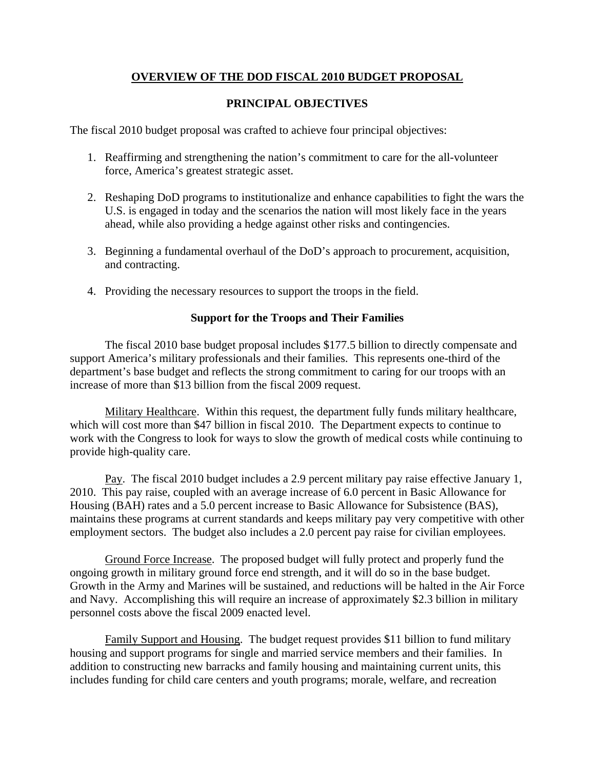# **OVERVIEW OF THE DOD FISCAL 2010 BUDGET PROPOSAL**

# **PRINCIPAL OBJECTIVES**

The fiscal 2010 budget proposal was crafted to achieve four principal objectives:

- 1. Reaffirming and strengthening the nation's commitment to care for the all-volunteer force, America's greatest strategic asset.
- 2. Reshaping DoD programs to institutionalize and enhance capabilities to fight the wars the U.S. is engaged in today and the scenarios the nation will most likely face in the years ahead, while also providing a hedge against other risks and contingencies.
- 3. Beginning a fundamental overhaul of the DoD's approach to procurement, acquisition, and contracting.
- 4. Providing the necessary resources to support the troops in the field.

## **Support for the Troops and Their Families**

 The fiscal 2010 base budget proposal includes \$177.5 billion to directly compensate and support America's military professionals and their families. This represents one-third of the department's base budget and reflects the strong commitment to caring for our troops with an increase of more than \$13 billion from the fiscal 2009 request.

 Military Healthcare. Within this request, the department fully funds military healthcare, which will cost more than \$47 billion in fiscal 2010. The Department expects to continue to work with the Congress to look for ways to slow the growth of medical costs while continuing to provide high-quality care.

 Pay. The fiscal 2010 budget includes a 2.9 percent military pay raise effective January 1, 2010. This pay raise, coupled with an average increase of 6.0 percent in Basic Allowance for Housing (BAH) rates and a 5.0 percent increase to Basic Allowance for Subsistence (BAS), maintains these programs at current standards and keeps military pay very competitive with other employment sectors. The budget also includes a 2.0 percent pay raise for civilian employees.

 Ground Force Increase. The proposed budget will fully protect and properly fund the ongoing growth in military ground force end strength, and it will do so in the base budget. Growth in the Army and Marines will be sustained, and reductions will be halted in the Air Force and Navy. Accomplishing this will require an increase of approximately \$2.3 billion in military personnel costs above the fiscal 2009 enacted level.

 Family Support and Housing. The budget request provides \$11 billion to fund military housing and support programs for single and married service members and their families. In addition to constructing new barracks and family housing and maintaining current units, this includes funding for child care centers and youth programs; morale, welfare, and recreation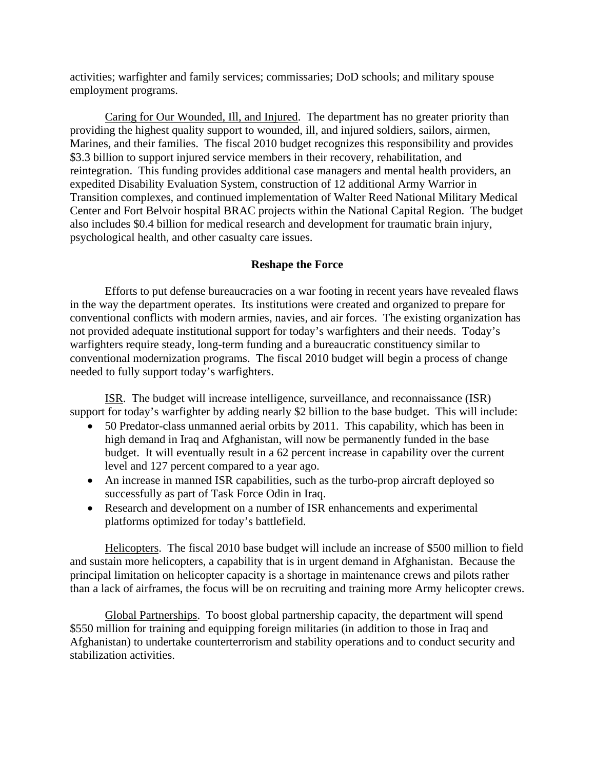activities; warfighter and family services; commissaries; DoD schools; and military spouse employment programs.

 Caring for Our Wounded, Ill, and Injured. The department has no greater priority than providing the highest quality support to wounded, ill, and injured soldiers, sailors, airmen, Marines, and their families. The fiscal 2010 budget recognizes this responsibility and provides \$3.3 billion to support injured service members in their recovery, rehabilitation, and reintegration. This funding provides additional case managers and mental health providers, an expedited Disability Evaluation System, construction of 12 additional Army Warrior in Transition complexes, and continued implementation of Walter Reed National Military Medical Center and Fort Belvoir hospital BRAC projects within the National Capital Region. The budget also includes \$0.4 billion for medical research and development for traumatic brain injury, psychological health, and other casualty care issues.

## **Reshape the Force**

 Efforts to put defense bureaucracies on a war footing in recent years have revealed flaws in the way the department operates. Its institutions were created and organized to prepare for conventional conflicts with modern armies, navies, and air forces. The existing organization has not provided adequate institutional support for today's warfighters and their needs. Today's warfighters require steady, long-term funding and a bureaucratic constituency similar to conventional modernization programs. The fiscal 2010 budget will begin a process of change needed to fully support today's warfighters.

 ISR. The budget will increase intelligence, surveillance, and reconnaissance (ISR) support for today's warfighter by adding nearly \$2 billion to the base budget. This will include:

- 50 Predator-class unmanned aerial orbits by 2011. This capability, which has been in high demand in Iraq and Afghanistan, will now be permanently funded in the base budget. It will eventually result in a 62 percent increase in capability over the current level and 127 percent compared to a year ago.
- An increase in manned ISR capabilities, such as the turbo-prop aircraft deployed so successfully as part of Task Force Odin in Iraq.
- Research and development on a number of ISR enhancements and experimental platforms optimized for today's battlefield.

 Helicopters. The fiscal 2010 base budget will include an increase of \$500 million to field and sustain more helicopters, a capability that is in urgent demand in Afghanistan. Because the principal limitation on helicopter capacity is a shortage in maintenance crews and pilots rather than a lack of airframes, the focus will be on recruiting and training more Army helicopter crews.

 Global Partnerships. To boost global partnership capacity, the department will spend \$550 million for training and equipping foreign militaries (in addition to those in Iraq and Afghanistan) to undertake counterterrorism and stability operations and to conduct security and stabilization activities.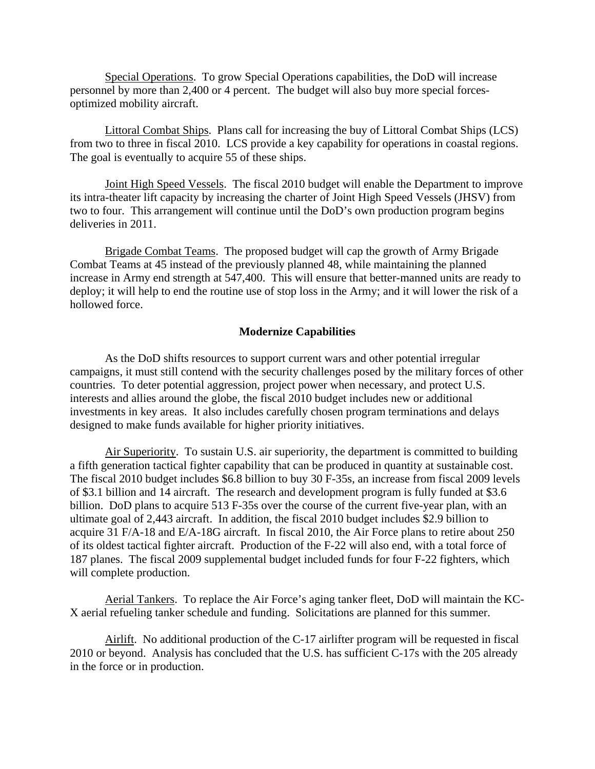Special Operations. To grow Special Operations capabilities, the DoD will increase personnel by more than 2,400 or 4 percent. The budget will also buy more special forcesoptimized mobility aircraft.

 Littoral Combat Ships. Plans call for increasing the buy of Littoral Combat Ships (LCS) from two to three in fiscal 2010. LCS provide a key capability for operations in coastal regions. The goal is eventually to acquire 55 of these ships.

 Joint High Speed Vessels. The fiscal 2010 budget will enable the Department to improve its intra-theater lift capacity by increasing the charter of Joint High Speed Vessels (JHSV) from two to four. This arrangement will continue until the DoD's own production program begins deliveries in 2011.

Brigade Combat Teams. The proposed budget will cap the growth of Army Brigade Combat Teams at 45 instead of the previously planned 48, while maintaining the planned increase in Army end strength at 547,400. This will ensure that better-manned units are ready to deploy; it will help to end the routine use of stop loss in the Army; and it will lower the risk of a hollowed force.

#### **Modernize Capabilities**

 As the DoD shifts resources to support current wars and other potential irregular campaigns, it must still contend with the security challenges posed by the military forces of other countries. To deter potential aggression, project power when necessary, and protect U.S. interests and allies around the globe, the fiscal 2010 budget includes new or additional investments in key areas. It also includes carefully chosen program terminations and delays designed to make funds available for higher priority initiatives.

 Air Superiority. To sustain U.S. air superiority, the department is committed to building a fifth generation tactical fighter capability that can be produced in quantity at sustainable cost. The fiscal 2010 budget includes \$6.8 billion to buy 30 F-35s, an increase from fiscal 2009 levels of \$3.1 billion and 14 aircraft. The research and development program is fully funded at \$3.6 billion. DoD plans to acquire 513 F-35s over the course of the current five-year plan, with an ultimate goal of 2,443 aircraft. In addition, the fiscal 2010 budget includes \$2.9 billion to acquire 31 F/A-18 and E/A-18G aircraft. In fiscal 2010, the Air Force plans to retire about 250 of its oldest tactical fighter aircraft. Production of the F-22 will also end, with a total force of 187 planes. The fiscal 2009 supplemental budget included funds for four F-22 fighters, which will complete production.

 Aerial Tankers. To replace the Air Force's aging tanker fleet, DoD will maintain the KC-X aerial refueling tanker schedule and funding. Solicitations are planned for this summer.

 Airlift. No additional production of the C-17 airlifter program will be requested in fiscal 2010 or beyond. Analysis has concluded that the U.S. has sufficient C-17s with the 205 already in the force or in production.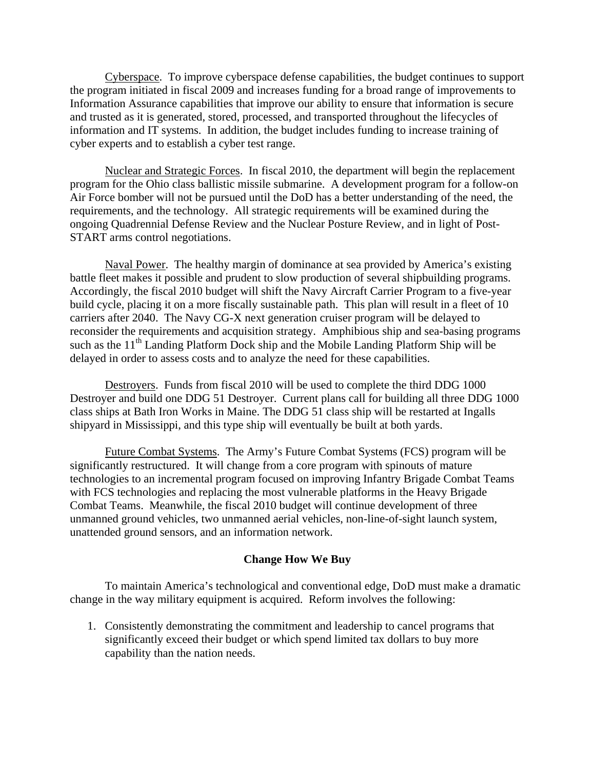Cyberspace. To improve cyberspace defense capabilities, the budget continues to support the program initiated in fiscal 2009 and increases funding for a broad range of improvements to Information Assurance capabilities that improve our ability to ensure that information is secure and trusted as it is generated, stored, processed, and transported throughout the lifecycles of information and IT systems. In addition, the budget includes funding to increase training of cyber experts and to establish a cyber test range.

 Nuclear and Strategic Forces. In fiscal 2010, the department will begin the replacement program for the Ohio class ballistic missile submarine. A development program for a follow-on Air Force bomber will not be pursued until the DoD has a better understanding of the need, the requirements, and the technology. All strategic requirements will be examined during the ongoing Quadrennial Defense Review and the Nuclear Posture Review, and in light of Post-START arms control negotiations.

 Naval Power. The healthy margin of dominance at sea provided by America's existing battle fleet makes it possible and prudent to slow production of several shipbuilding programs. Accordingly, the fiscal 2010 budget will shift the Navy Aircraft Carrier Program to a five-year build cycle, placing it on a more fiscally sustainable path. This plan will result in a fleet of 10 carriers after 2040. The Navy CG-X next generation cruiser program will be delayed to reconsider the requirements and acquisition strategy. Amphibious ship and sea-basing programs such as the  $11<sup>th</sup>$  Landing Platform Dock ship and the Mobile Landing Platform Ship will be delayed in order to assess costs and to analyze the need for these capabilities.

 Destroyers. Funds from fiscal 2010 will be used to complete the third DDG 1000 Destroyer and build one DDG 51 Destroyer. Current plans call for building all three DDG 1000 class ships at Bath Iron Works in Maine. The DDG 51 class ship will be restarted at Ingalls shipyard in Mississippi, and this type ship will eventually be built at both yards.

 Future Combat Systems. The Army's Future Combat Systems (FCS) program will be significantly restructured. It will change from a core program with spinouts of mature technologies to an incremental program focused on improving Infantry Brigade Combat Teams with FCS technologies and replacing the most vulnerable platforms in the Heavy Brigade Combat Teams. Meanwhile, the fiscal 2010 budget will continue development of three unmanned ground vehicles, two unmanned aerial vehicles, non-line-of-sight launch system, unattended ground sensors, and an information network.

#### **Change How We Buy**

 To maintain America's technological and conventional edge, DoD must make a dramatic change in the way military equipment is acquired. Reform involves the following:

1. Consistently demonstrating the commitment and leadership to cancel programs that significantly exceed their budget or which spend limited tax dollars to buy more capability than the nation needs.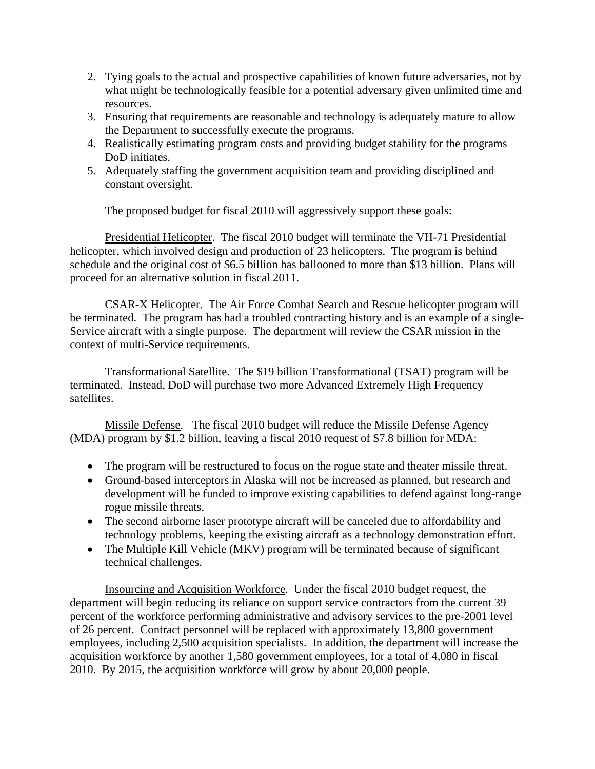- 2. Tying goals to the actual and prospective capabilities of known future adversaries, not by what might be technologically feasible for a potential adversary given unlimited time and resources.
- 3. Ensuring that requirements are reasonable and technology is adequately mature to allow the Department to successfully execute the programs.
- 4. Realistically estimating program costs and providing budget stability for the programs DoD initiates.
- 5. Adequately staffing the government acquisition team and providing disciplined and constant oversight.

The proposed budget for fiscal 2010 will aggressively support these goals:

 Presidential Helicopter. The fiscal 2010 budget will terminate the VH-71 Presidential helicopter, which involved design and production of 23 helicopters. The program is behind schedule and the original cost of \$6.5 billion has ballooned to more than \$13 billion. Plans will proceed for an alternative solution in fiscal 2011.

 CSAR-X Helicopter. The Air Force Combat Search and Rescue helicopter program will be terminated. The program has had a troubled contracting history and is an example of a single-Service aircraft with a single purpose. The department will review the CSAR mission in the context of multi-Service requirements.

 Transformational Satellite. The \$19 billion Transformational (TSAT) program will be terminated. Instead, DoD will purchase two more Advanced Extremely High Frequency satellites.

 Missile Defense. The fiscal 2010 budget will reduce the Missile Defense Agency (MDA) program by \$1.2 billion, leaving a fiscal 2010 request of \$7.8 billion for MDA:

- The program will be restructured to focus on the rogue state and theater missile threat.
- Ground-based interceptors in Alaska will not be increased as planned, but research and development will be funded to improve existing capabilities to defend against long-range rogue missile threats.
- The second airborne laser prototype aircraft will be canceled due to affordability and technology problems, keeping the existing aircraft as a technology demonstration effort.
- The Multiple Kill Vehicle (MKV) program will be terminated because of significant technical challenges.

 Insourcing and Acquisition Workforce. Under the fiscal 2010 budget request, the department will begin reducing its reliance on support service contractors from the current 39 percent of the workforce performing administrative and advisory services to the pre-2001 level of 26 percent. Contract personnel will be replaced with approximately 13,800 government employees, including 2,500 acquisition specialists. In addition, the department will increase the acquisition workforce by another 1,580 government employees, for a total of 4,080 in fiscal 2010. By 2015, the acquisition workforce will grow by about 20,000 people.